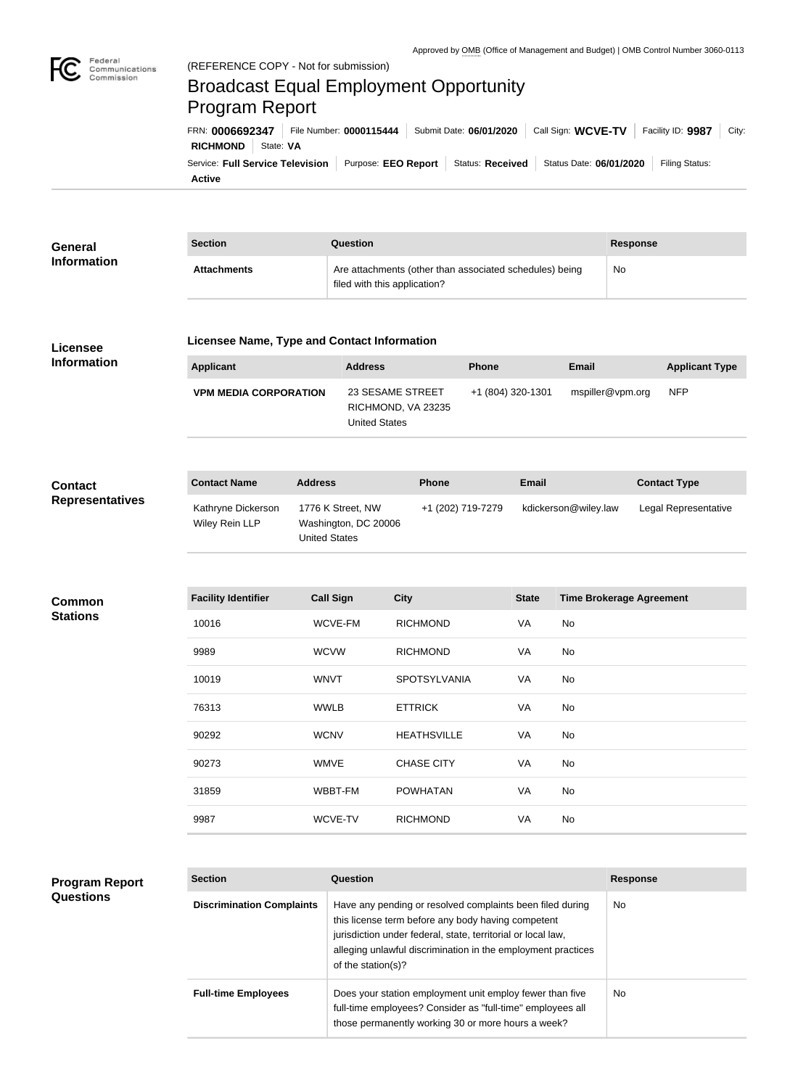

# Broadcast Equal Employment Opportunity Program Report

**Active** Service: Full Service Television | Purpose: EEO Report | Status: Received | Status Date: 06/01/2020 | Filing Status: **RICHMOND** State: **VA** FRN: **0006692347** File Number: **0000115444** Submit Date: **06/01/2020** Call Sign: **WCVE-TV** Facility ID: **9987** City:

| General            | <b>Section</b>     | Question                                                                                | <b>Response</b> |
|--------------------|--------------------|-----------------------------------------------------------------------------------------|-----------------|
| <b>Information</b> | <b>Attachments</b> | Are attachments (other than associated schedules) being<br>filed with this application? | No              |

## **Licensee Information**

### **Licensee Name, Type and Contact Information**

| <b>Applicant</b>             | <b>Address</b>                                                 | <b>Phone</b>      | Email            | <b>Applicant Type</b> |
|------------------------------|----------------------------------------------------------------|-------------------|------------------|-----------------------|
| <b>VPM MEDIA CORPORATION</b> | 23 SESAME STREET<br>RICHMOND, VA 23235<br><b>United States</b> | +1 (804) 320-1301 | mspiller@vpm.org | <b>NFP</b>            |

#### **Contact Name Address Phone Email Contact Type** Kathryne Dickerson Wiley Rein LLP 1776 K Street, NW Washington, DC 20006 United States +1 (202) 719-7279 kdickerson@wiley.law Legal Representative **Contact Representatives**

## **Common Stations**

| <b>Facility Identifier</b> | <b>Call Sign</b> | <b>City</b>         | <b>State</b> | <b>Time Brokerage Agreement</b> |
|----------------------------|------------------|---------------------|--------------|---------------------------------|
| 10016                      | WCVE-FM          | <b>RICHMOND</b>     | VA           | No                              |
| 9989                       | <b>WCVW</b>      | <b>RICHMOND</b>     | VA           | No                              |
| 10019                      | <b>WNVT</b>      | <b>SPOTSYLVANIA</b> | VA           | No                              |
| 76313                      | <b>WWLB</b>      | <b>ETTRICK</b>      | VA           | <b>No</b>                       |
| 90292                      | <b>WCNV</b>      | <b>HEATHSVILLE</b>  | VA           | No                              |
| 90273                      | <b>WMVE</b>      | <b>CHASE CITY</b>   | VA           | No                              |
| 31859                      | WBBT-FM          | <b>POWHATAN</b>     | VA           | No                              |
| 9987                       | WCVE-TV          | <b>RICHMOND</b>     | VA           | No                              |

## **Program Report Questions**

| <b>Section</b>                   | Question                                                                                                                                                                                                                                                              | <b>Response</b> |  |
|----------------------------------|-----------------------------------------------------------------------------------------------------------------------------------------------------------------------------------------------------------------------------------------------------------------------|-----------------|--|
| <b>Discrimination Complaints</b> | Have any pending or resolved complaints been filed during<br>this license term before any body having competent<br>jurisdiction under federal, state, territorial or local law,<br>alleging unlawful discrimination in the employment practices<br>of the station(s)? | <b>No</b>       |  |
| <b>Full-time Employees</b>       | Does your station employment unit employ fewer than five<br>full-time employees? Consider as "full-time" employees all<br>those permanently working 30 or more hours a week?                                                                                          | <b>No</b>       |  |